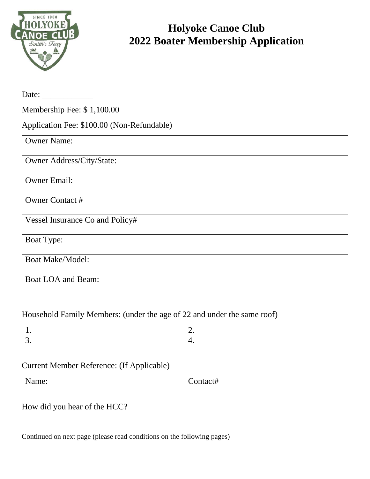

## **Holyoke Canoe Club 2022 Boater Membership Application**

| Date: $\frac{1}{\sqrt{1-\frac{1}{2}}\cdot\frac{1}{2}}$ |
|--------------------------------------------------------|
| Membership Fee: \$1,100.00                             |
| Application Fee: \$100.00 (Non-Refundable)             |
| <b>Owner Name:</b>                                     |
| Owner Address/City/State:                              |
| <b>Owner Email:</b>                                    |
| <b>Owner Contact #</b>                                 |
| Vessel Insurance Co and Policy#                        |
| <b>Boat Type:</b>                                      |
| <b>Boat Make/Model:</b>                                |
| <b>Boat LOA and Beam:</b>                              |

## Household Family Members: (under the age of 22 and under the same roof)

## Current Member Reference: (If Applicable)

| $\sim$ $\sim$<br>. . |
|----------------------|
|----------------------|

How did you hear of the HCC?

Continued on next page (please read conditions on the following pages)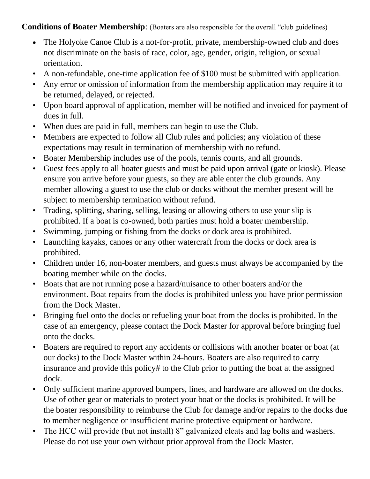## **Conditions of Boater Membership**: (Boaters are also responsible for the overall "club guidelines)

- The Holyoke Canoe Club is a not-for-profit, private, membership-owned club and does not discriminate on the basis of race, color, age, gender, origin, religion, or sexual orientation.
- A non-refundable, one-time application fee of \$100 must be submitted with application.
- Any error or omission of information from the membership application may require it to be returned, delayed, or rejected.
- Upon board approval of application, member will be notified and invoiced for payment of dues in full.
- When dues are paid in full, members can begin to use the Club.
- Members are expected to follow all Club rules and policies; any violation of these expectations may result in termination of membership with no refund.
- Boater Membership includes use of the pools, tennis courts, and all grounds.
- Guest fees apply to all boater guests and must be paid upon arrival (gate or kiosk). Please ensure you arrive before your guests, so they are able enter the club grounds. Any member allowing a guest to use the club or docks without the member present will be subject to membership termination without refund.
- Trading, splitting, sharing, selling, leasing or allowing others to use your slip is prohibited. If a boat is co-owned, both parties must hold a boater membership.
- Swimming, jumping or fishing from the docks or dock area is prohibited.
- Launching kayaks, canoes or any other watercraft from the docks or dock area is prohibited.
- Children under 16, non-boater members, and guests must always be accompanied by the boating member while on the docks.
- Boats that are not running pose a hazard/nuisance to other boaters and/or the environment. Boat repairs from the docks is prohibited unless you have prior permission from the Dock Master.
- Bringing fuel onto the docks or refueling your boat from the docks is prohibited. In the case of an emergency, please contact the Dock Master for approval before bringing fuel onto the docks.
- Boaters are required to report any accidents or collisions with another boater or boat (at our docks) to the Dock Master within 24-hours. Boaters are also required to carry insurance and provide this policy# to the Club prior to putting the boat at the assigned dock.
- Only sufficient marine approved bumpers, lines, and hardware are allowed on the docks. Use of other gear or materials to protect your boat or the docks is prohibited. It will be the boater responsibility to reimburse the Club for damage and/or repairs to the docks due to member negligence or insufficient marine protective equipment or hardware.
- The HCC will provide (but not install) 8" galvanized cleats and lag bolts and washers. Please do not use your own without prior approval from the Dock Master.